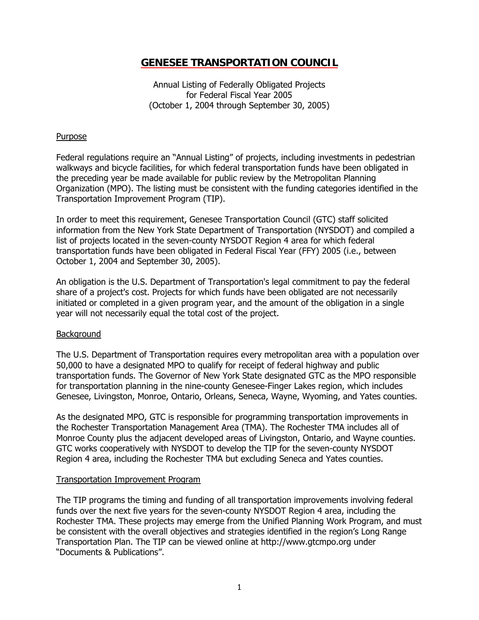# **GENESEE TRANSPORTATION COUNCIL**

Annual Listing of Federally Obligated Projects for Federal Fiscal Year 2005 (October 1, 2004 through September 30, 2005)

# Purpose

Federal regulations require an "Annual Listing" of projects, including investments in pedestrian walkways and bicycle facilities, for which federal transportation funds have been obligated in the preceding year be made available for public review by the Metropolitan Planning Organization (MPO). The listing must be consistent with the funding categories identified in the Transportation Improvement Program (TIP).

In order to meet this requirement, Genesee Transportation Council (GTC) staff solicited information from the New York State Department of Transportation (NYSDOT) and compiled a list of projects located in the seven-county NYSDOT Region 4 area for which federal transportation funds have been obligated in Federal Fiscal Year (FFY) 2005 (i.e., between October 1, 2004 and September 30, 2005).

An obligation is the U.S. Department of Transportation's legal commitment to pay the federal share of a project's cost. Projects for which funds have been obligated are not necessarily initiated or completed in a given program year, and the amount of the obligation in a single year will not necessarily equal the total cost of the project.

# **Background**

The U.S. Department of Transportation requires every metropolitan area with a population over 50,000 to have a designated MPO to qualify for receipt of federal highway and public transportation funds. The Governor of New York State designated GTC as the MPO responsible for transportation planning in the nine-county Genesee-Finger Lakes region, which includes Genesee, Livingston, Monroe, Ontario, Orleans, Seneca, Wayne, Wyoming, and Yates counties.

As the designated MPO, GTC is responsible for programming transportation improvements in the Rochester Transportation Management Area (TMA). The Rochester TMA includes all of Monroe County plus the adjacent developed areas of Livingston, Ontario, and Wayne counties. GTC works cooperatively with NYSDOT to develop the TIP for the seven-county NYSDOT Region 4 area, including the Rochester TMA but excluding Seneca and Yates counties.

# Transportation Improvement Program

The TIP programs the timing and funding of all transportation improvements involving federal funds over the next five years for the seven-county NYSDOT Region 4 area, including the Rochester TMA. These projects may emerge from the Unified Planning Work Program, and must be consistent with the overall objectives and strategies identified in the region's Long Range Transportation Plan. The TIP can be viewed online at http://www.gtcmpo.org under "Documents & Publications".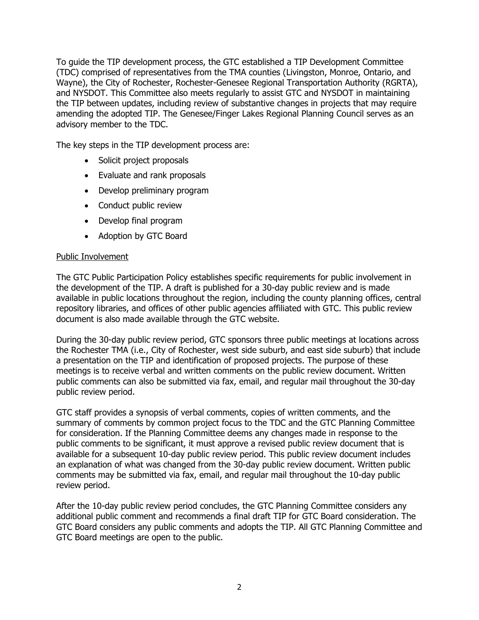To guide the TIP development process, the GTC established a TIP Development Committee (TDC) comprised of representatives from the TMA counties (Livingston, Monroe, Ontario, and Wayne), the City of Rochester, Rochester-Genesee Regional Transportation Authority (RGRTA), and NYSDOT. This Committee also meets regularly to assist GTC and NYSDOT in maintaining the TIP between updates, including review of substantive changes in projects that may require amending the adopted TIP. The Genesee/Finger Lakes Regional Planning Council serves as an advisory member to the TDC.

The key steps in the TIP development process are:

- Solicit project proposals
- Evaluate and rank proposals
- Develop preliminary program
- Conduct public review
- Develop final program
- Adoption by GTC Board

# Public Involvement

The GTC Public Participation Policy establishes specific requirements for public involvement in the development of the TIP. A draft is published for a 30-day public review and is made available in public locations throughout the region, including the county planning offices, central repository libraries, and offices of other public agencies affiliated with GTC. This public review document is also made available through the GTC website.

During the 30-day public review period, GTC sponsors three public meetings at locations across the Rochester TMA (i.e., City of Rochester, west side suburb, and east side suburb) that include a presentation on the TIP and identification of proposed projects. The purpose of these meetings is to receive verbal and written comments on the public review document. Written public comments can also be submitted via fax, email, and regular mail throughout the 30-day public review period.

GTC staff provides a synopsis of verbal comments, copies of written comments, and the summary of comments by common project focus to the TDC and the GTC Planning Committee for consideration. If the Planning Committee deems any changes made in response to the public comments to be significant, it must approve a revised public review document that is available for a subsequent 10-day public review period. This public review document includes an explanation of what was changed from the 30-day public review document. Written public comments may be submitted via fax, email, and regular mail throughout the 10-day public review period.

After the 10-day public review period concludes, the GTC Planning Committee considers any additional public comment and recommends a final draft TIP for GTC Board consideration. The GTC Board considers any public comments and adopts the TIP. All GTC Planning Committee and GTC Board meetings are open to the public.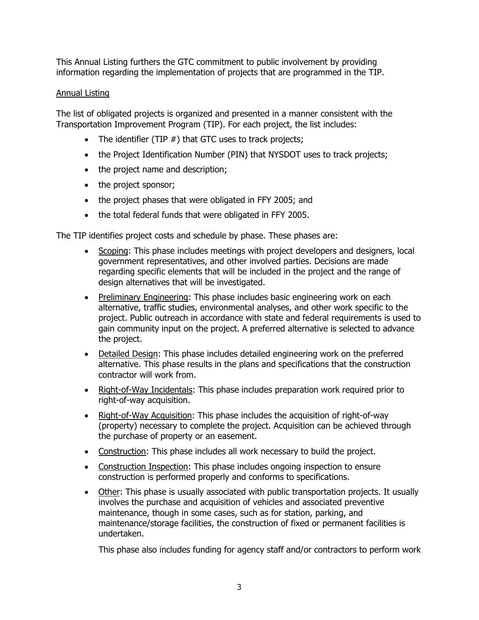This Annual Listing furthers the GTC commitment to public involvement by providing information regarding the implementation of projects that are programmed in the TIP.

# Annual Listing

The list of obligated projects is organized and presented in a manner consistent with the Transportation Improvement Program (TIP). For each project, the list includes:

- The identifier (TIP  $#$ ) that GTC uses to track projects;
- the Project Identification Number (PIN) that NYSDOT uses to track projects;
- the project name and description;
- the project sponsor;
- the project phases that were obligated in FFY 2005; and
- the total federal funds that were obligated in FFY 2005.

The TIP identifies project costs and schedule by phase. These phases are:

- Scoping: This phase includes meetings with project developers and designers, local government representatives, and other involved parties. Decisions are made regarding specific elements that will be included in the project and the range of design alternatives that will be investigated.
- Preliminary Engineering: This phase includes basic engineering work on each alternative, traffic studies, environmental analyses, and other work specific to the project. Public outreach in accordance with state and federal requirements is used to gain community input on the project. A preferred alternative is selected to advance the project.
- Detailed Design: This phase includes detailed engineering work on the preferred alternative. This phase results in the plans and specifications that the construction contractor will work from.
- Right-of-Way Incidentals: This phase includes preparation work required prior to right-of-way acquisition.
- Right-of-Way Acquisition: This phase includes the acquisition of right-of-way (property) necessary to complete the project. Acquisition can be achieved through the purchase of property or an easement.
- Construction: This phase includes all work necessary to build the project.
- Construction Inspection: This phase includes ongoing inspection to ensure construction is performed properly and conforms to specifications.
- Other: This phase is usually associated with public transportation projects. It usually involves the purchase and acquisition of vehicles and associated preventive maintenance, though in some cases, such as for station, parking, and maintenance/storage facilities, the construction of fixed or permanent facilities is undertaken.

This phase also includes funding for agency staff and/or contractors to perform work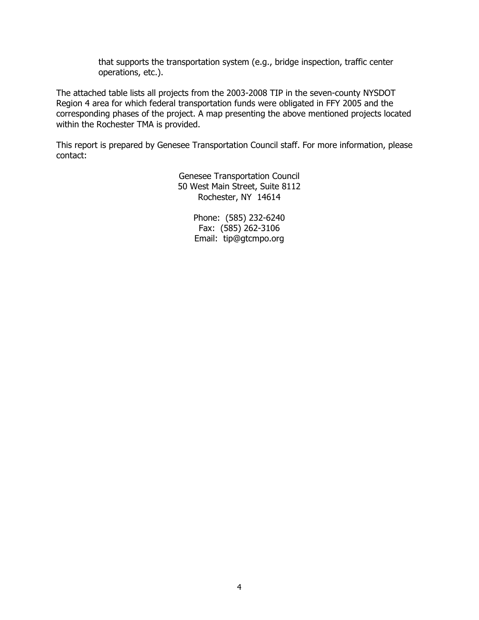that supports the transportation system (e.g., bridge inspection, traffic center operations, etc.).

The attached table lists all projects from the 2003-2008 TIP in the seven-county NYSDOT Region 4 area for which federal transportation funds were obligated in FFY 2005 and the corresponding phases of the project. A map presenting the above mentioned projects located within the Rochester TMA is provided.

This report is prepared by Genesee Transportation Council staff. For more information, please contact:

> Genesee Transportation Council 50 West Main Street, Suite 8112 Rochester, NY 14614

> > Phone: (585) 232-6240 Fax: (585) 262-3106 Email: tip@gtcmpo.org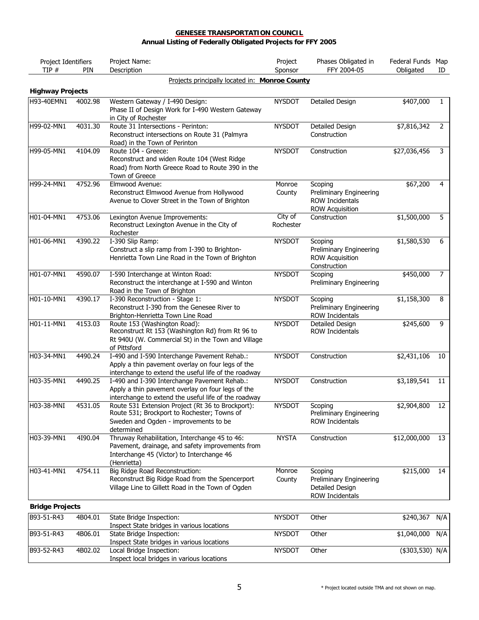| Project Identifiers     |         | Project Name:                                                                                                                                                 | Project              | Phases Obligated in                                                             | Federal Funds Map  |              |
|-------------------------|---------|---------------------------------------------------------------------------------------------------------------------------------------------------------------|----------------------|---------------------------------------------------------------------------------|--------------------|--------------|
| TIP #                   | PIN     | Description                                                                                                                                                   | Sponsor              | FFY 2004-05                                                                     | Obligated          | ID           |
|                         |         | Projects principally located in: Monroe County                                                                                                                |                      |                                                                                 |                    |              |
| <b>Highway Projects</b> |         |                                                                                                                                                               |                      |                                                                                 |                    |              |
| H93-40EMN1              | 4002.98 | Western Gateway / I-490 Design:<br>Phase II of Design Work for I-490 Western Gateway<br>in City of Rochester                                                  | <b>NYSDOT</b>        | Detailed Design                                                                 | \$407,000          | $\mathbf{1}$ |
| H99-02-MN1              | 4031.30 | Route 31 Intersections - Perinton:<br>Reconstruct intersections on Route 31 (Palmyra<br>Road) in the Town of Perinton                                         | <b>NYSDOT</b>        | Detailed Design<br>Construction                                                 | \$7,816,342        | 2            |
| H99-05-MN1              | 4104.09 | Route 104 - Greece:<br>Reconstruct and widen Route 104 (West Ridge<br>Road) from North Greece Road to Route 390 in the<br>Town of Greece                      | <b>NYSDOT</b>        | Construction                                                                    | \$27,036,456       | 3            |
| H99-24-MN1              | 4752.96 | Elmwood Avenue:<br>Reconstruct Elmwood Avenue from Hollywood<br>Avenue to Clover Street in the Town of Brighton                                               | Monroe<br>County     | Scoping<br>Preliminary Engineering<br>ROW Incidentals<br><b>ROW Acquisition</b> | \$67,200           | 4            |
| H01-04-MN1              | 4753.06 | Lexington Avenue Improvements:<br>Reconstruct Lexington Avenue in the City of<br>Rochester                                                                    | City of<br>Rochester | Construction                                                                    | \$1,500,000        | 5            |
| H01-06-MN1              | 4390.22 | I-390 Slip Ramp:<br>Construct a slip ramp from I-390 to Brighton-<br>Henrietta Town Line Road in the Town of Brighton                                         | <b>NYSDOT</b>        | Scoping<br>Preliminary Engineering<br><b>ROW Acquisition</b><br>Construction    | \$1,580,530        | 6            |
| H01-07-MN1              | 4590.07 | I-590 Interchange at Winton Road:<br>Reconstruct the interchange at I-590 and Winton<br>Road in the Town of Brighton                                          | <b>NYSDOT</b>        | Scoping<br>Preliminary Engineering                                              | \$450,000          | 7            |
| $H01-10-MN1$            | 4390.17 | I-390 Reconstruction - Stage 1:<br>Reconstruct I-390 from the Genesee River to<br>Brighton-Henrietta Town Line Road                                           | <b>NYSDOT</b>        | Scoping<br>Preliminary Engineering<br>ROW Incidentals                           | \$1,158,300        | 8            |
| H01-11-MN1              | 4153.03 | Route 153 (Washington Road):<br>Reconstruct Rt 153 (Washington Rd) from Rt 96 to<br>Rt 940U (W. Commercial St) in the Town and Village<br>of Pittsford        | <b>NYSDOT</b>        | Detailed Design<br><b>ROW Incidentals</b>                                       | \$245,600          | 9            |
| H03-34-MN1              | 4490.24 | I-490 and I-590 Interchange Pavement Rehab.:<br>Apply a thin pavement overlay on four legs of the<br>interchange to extend the useful life of the roadway     | <b>NYSDOT</b>        | Construction                                                                    | $\sqrt{2,431,106}$ | 10           |
| H03-35-MN1              | 4490.25 | I-490 and I-390 Interchange Pavement Rehab.:<br>Apply a thin pavement overlay on four legs of the<br>interchange to extend the useful life of the roadway     | <b>NYSDOT</b>        | Construction                                                                    | \$3,189,541        | 11           |
| H03-38-MNI              | 4531.05 | Route 531 Extension Project (Rt 36 to Brockport):<br>Route 531; Brockport to Rochester; Towns of<br>Sweden and Ogden - improvements to be<br>determined       | <b>NYSDOT</b>        | Scoping<br>Preliminary Engineering<br><b>ROW Incidentals</b>                    | \$2,904,800        | 12           |
| H03-39-MN1              | 4190.04 | Thruway Rehabilitation, Interchange 45 to 46:<br>Pavement, drainage, and safety improvements from<br>Interchange 45 (Victor) to Interchange 46<br>(Henrietta) | <b>NYSTA</b>         | Construction                                                                    | \$12,000,000       | 13           |
| H03-41-MN1              | 4754.11 | Big Ridge Road Reconstruction:<br>Reconstruct Big Ridge Road from the Spencerport<br>Village Line to Gillett Road in the Town of Ogden                        | Monroe<br>County     | Scoping<br>Preliminary Engineering<br>Detailed Design<br>ROW Incidentals        | \$215,000          | 14           |
| <b>Bridge Projects</b>  |         |                                                                                                                                                               |                      |                                                                                 |                    |              |
| B93-51-R43              | 4B04.01 | State Bridge Inspection:<br>Inspect State bridges in various locations                                                                                        | <b>NYSDOT</b>        | Other                                                                           | \$240,367          | N/A          |
| B93-51-R43              | 4B06.01 | State Bridge Inspection:                                                                                                                                      | <b>NYSDOT</b>        | Other                                                                           | \$1,040,000        | N/A          |
| B93-52-R43              | 4B02.02 | Inspect State bridges in various locations<br>Local Bridge Inspection:<br>Inspect local bridges in various locations                                          | <b>NYSDOT</b>        | Other                                                                           | (\$303,530) N/A    |              |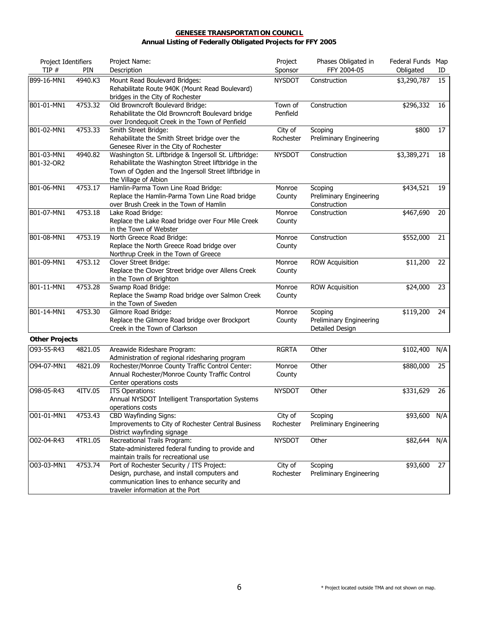| Project Identifiers<br>TIP # | PIN     | Project Name:<br>Description                                                                                                                                                                   | Project<br>Sponsor   | Phases Obligated in<br>FFY 2004-05                    | Federal Funds Map<br>Obligated | ID  |
|------------------------------|---------|------------------------------------------------------------------------------------------------------------------------------------------------------------------------------------------------|----------------------|-------------------------------------------------------|--------------------------------|-----|
| B99-16-MN1                   | 4940.K3 | Mount Read Boulevard Bridges:<br>Rehabilitate Route 940K (Mount Read Boulevard)<br>bridges in the City of Rochester                                                                            | <b>NYSDOT</b>        | Construction                                          | \$3,290,787                    | 15  |
| B01-01-MN1                   | 4753.32 | Old Browncroft Boulevard Bridge:<br>Rehabilitate the Old Browncroft Boulevard bridge<br>over Irondequoit Creek in the Town of Penfield                                                         | Town of<br>Penfield  | Construction                                          | \$296,332                      | 16  |
| B01-02-MN1                   | 4753.33 | Smith Street Bridge:<br>Rehabilitate the Smith Street bridge over the<br>Genesee River in the City of Rochester                                                                                | City of<br>Rochester | Scoping<br>Preliminary Engineering                    | \$800                          | 17  |
| B01-03-MN1<br>B01-32-OR2     | 4940.82 | Washington St. Liftbridge & Ingersoll St. Liftbridge:<br>Rehabilitate the Washington Street liftbridge in the<br>Town of Ogden and the Ingersoll Street liftbridge in<br>the Village of Albion | <b>NYSDOT</b>        | Construction                                          | \$3,389,271                    | 18  |
| B01-06-MN1                   | 4753.17 | Hamlin-Parma Town Line Road Bridge:<br>Replace the Hamlin-Parma Town Line Road bridge<br>over Brush Creek in the Town of Hamlin                                                                | Monroe<br>County     | Scoping<br>Preliminary Engineering<br>Construction    | \$434,521                      | 19  |
| B01-07-MN1                   | 4753.18 | Lake Road Bridge:<br>Replace the Lake Road bridge over Four Mile Creek<br>in the Town of Webster                                                                                               | Monroe<br>County     | Construction                                          | \$467,690                      | 20  |
| B01-08-MN1                   | 4753.19 | North Greece Road Bridge:<br>Replace the North Greece Road bridge over<br>Northrup Creek in the Town of Greece                                                                                 | Monroe<br>County     | Construction                                          | \$552,000                      | 21  |
| B01-09-MN1                   | 4753.12 | Clover Street Bridge:<br>Replace the Clover Street bridge over Allens Creek<br>in the Town of Brighton                                                                                         | Monroe<br>County     | <b>ROW Acquisition</b>                                | \$11,200                       | 22  |
| B01-11-MN1                   | 4753.28 | Swamp Road Bridge:<br>Replace the Swamp Road bridge over Salmon Creek<br>in the Town of Sweden                                                                                                 | Monroe<br>County     | <b>ROW Acquisition</b>                                | \$24,000                       | 23  |
| B01-14-MN1                   | 4753.30 | Gilmore Road Bridge:<br>Replace the Gilmore Road bridge over Brockport<br>Creek in the Town of Clarkson                                                                                        | Monroe<br>County     | Scoping<br>Preliminary Engineering<br>Detailed Design | \$119,200                      | 24  |
| <b>Other Projects</b>        |         |                                                                                                                                                                                                |                      |                                                       |                                |     |
| 093-55-R43                   | 4821.05 | Areawide Rideshare Program:<br>Administration of regional ridesharing program                                                                                                                  | <b>RGRTA</b>         | Other                                                 | \$102,400                      | N/A |
| 094-07-MN1                   | 4821.09 | Rochester/Monroe County Traffic Control Center:<br>Annual Rochester/Monroe County Traffic Control<br>Center operations costs                                                                   | Monroe<br>County     | Other                                                 | \$880,000                      | 25  |
| O98-05-R43                   | 4ITV.05 | <b>ITS Operations:</b><br>Annual NYSDOT Intelligent Transportation Systems<br>operations costs                                                                                                 | <b>NYSDOT</b>        | Other                                                 | \$331,629                      | 26  |
| O01-01-MN1                   | 4753.43 | <b>CBD Wayfinding Signs:</b><br>Improvements to City of Rochester Central Business<br>District wayfinding signage                                                                              | City of<br>Rochester | Scoping<br>Preliminary Engineering                    | \$93,600                       | N/A |
| O02-04-R43                   | 4TR1.05 | Recreational Trails Program:<br>State-administered federal funding to provide and<br>maintain trails for recreational use                                                                      | <b>NYSDOT</b>        | Other                                                 | \$82,644                       | N/A |
| O03-03-MN1                   | 4753.74 | Port of Rochester Security / ITS Project:<br>Design, purchase, and install computers and<br>communication lines to enhance security and<br>traveler information at the Port                    | City of<br>Rochester | Scoping<br>Preliminary Engineering                    | \$93,600                       | 27  |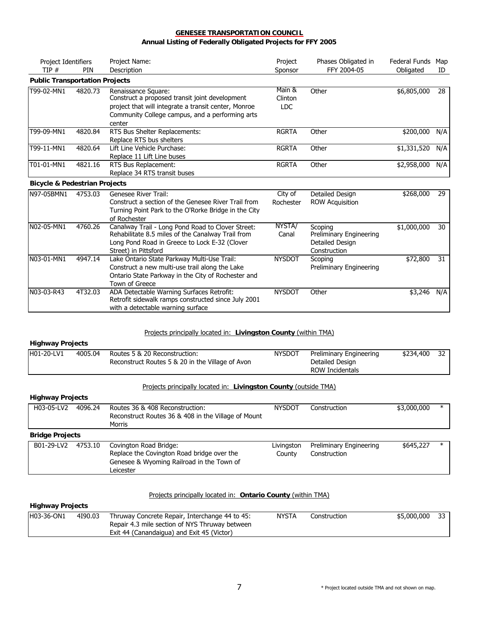| Project Identifiers                      |            | Project Name:                                                                                                                                                                              | Project                   | Phases Obligated in | Federal Funds | Map |
|------------------------------------------|------------|--------------------------------------------------------------------------------------------------------------------------------------------------------------------------------------------|---------------------------|---------------------|---------------|-----|
| TIP#                                     | <b>PIN</b> | Description                                                                                                                                                                                | Sponsor                   | FFY 2004-05         | Obligated     | ID  |
| <b>Public Transportation Projects</b>    |            |                                                                                                                                                                                            |                           |                     |               |     |
| T99-02-MN1                               | 4820.73    | Renaissance Square:<br>Construct a proposed transit joint development<br>project that will integrate a transit center, Monroe<br>Community College campus, and a performing arts<br>center | Main &<br>Clinton<br>LDC. | Other               | \$6,805,000   | 28  |
| T99-09-MN1                               | 4820.84    | RTS Bus Shelter Replacements:<br>Replace RTS bus shelters                                                                                                                                  | <b>RGRTA</b>              | Other               | \$200,000     | N/A |
| T99-11-MN1                               | 4820.64    | Lift Line Vehicle Purchase:<br>Replace 11 Lift Line buses                                                                                                                                  | <b>RGRTA</b>              | Other               | \$1,331,520   | N/A |
| T01-01-MN1                               | 4821.16    | RTS Bus Replacement:<br>Replace 34 RTS transit buses                                                                                                                                       | <b>RGRTA</b>              | Other               | \$2,958,000   | N/A |
| <b>Bicycle &amp; Pedestrian Projects</b> |            |                                                                                                                                                                                            |                           |                     |               |     |
| N97-05BMN1                               | 4753.03    | Genesee River Trail:                                                                                                                                                                       | City of                   | Detailed Design     | \$268,000     | 29  |

| INY/-USBMINI | 4753.03 | Genesee River Trail:<br>Construct a section of the Genesee River Trail from<br>Turning Point Park to the O'Rorke Bridge in the City<br>of Rochester                             | <b>CITY OF</b><br>Rochester | Detailed Design<br><b>ROW Acquisition</b>                             | \$268,000   | 29. |
|--------------|---------|---------------------------------------------------------------------------------------------------------------------------------------------------------------------------------|-----------------------------|-----------------------------------------------------------------------|-------------|-----|
| N02-05-MN1   | 4760.26 | Canalway Trail - Long Pond Road to Clover Street:<br>Rehabilitate 8.5 miles of the Canalway Trail from<br>Long Pond Road in Greece to Lock E-32 (Clover<br>Street) in Pittsford | NYSTA/<br>Canal             | Scoping<br>Preliminary Engineering<br>Detailed Design<br>Construction | \$1,000,000 | 30  |
| IN03-01-MN1  | 4947.14 | Lake Ontario State Parkway Multi-Use Trail:<br>Construct a new multi-use trail along the Lake<br>Ontario State Parkway in the City of Rochester and<br>Town of Greece           | <b>NYSDOT</b>               | Scoping<br>Preliminary Engineering                                    | \$72,800    | 31  |
| IN03-03-R43  | 4T32.03 | ADA Detectable Warning Surfaces Retrofit:<br>Retrofit sidewalk ramps constructed since July 2001<br>with a detectable warning surface                                           | <b>NYSDOT</b>               | Other                                                                 | \$3,246     | N/A |

### Projects principally located in: **Livingston County** (within TMA)

#### **Highway Projects**

| H01-20-LV1 | 4005.04 | Routes 5 & 20 Reconstruction:                    | NYSDOT | Preliminary Engineering | \$234,400 | 32 <sub>1</sub> |
|------------|---------|--------------------------------------------------|--------|-------------------------|-----------|-----------------|
|            |         | Reconstruct Routes 5 & 20 in the Village of Avon |        | Detailed Design         |           |                 |
|            |         |                                                  |        | ROW Incidentals         |           |                 |

#### Projects principally located in: **Livingston County** (outside TMA)

#### **Highway Projects**

| H03-05-LV2             | 4096.24 | Routes 36 & 408 Reconstruction:                                                                                                | <b>NYSDOT</b>        | Construction                            | \$3,000,000 | $\ast$ |
|------------------------|---------|--------------------------------------------------------------------------------------------------------------------------------|----------------------|-----------------------------------------|-------------|--------|
|                        |         | Reconstruct Routes 36 & 408 in the Village of Mount                                                                            |                      |                                         |             |        |
|                        |         | Morris                                                                                                                         |                      |                                         |             |        |
| <b>Bridge Projects</b> |         |                                                                                                                                |                      |                                         |             |        |
| B01-29-LV2             | 4753.10 | Covington Road Bridge:<br>Replace the Covington Road bridge over the<br>Genesee & Wyoming Railroad in the Town of<br>Leicester | Livingston<br>County | Preliminary Engineering<br>Construction | \$645,227   | $\ast$ |

#### Projects principally located in: **Ontario County** (within TMA)

# **Highway Projects**

| H03-36-ON1 | 4190.03 | Thruway Concrete Repair, Interchange 44 to 45: | <b>NYSTA</b> | Construction | \$5,000,000 | 33 I |
|------------|---------|------------------------------------------------|--------------|--------------|-------------|------|
|            |         | Repair 4.3 mile section of NYS Thruway between |              |              |             |      |
|            |         | Exit 44 (Canandaigua) and Exit 45 (Victor)     |              |              |             |      |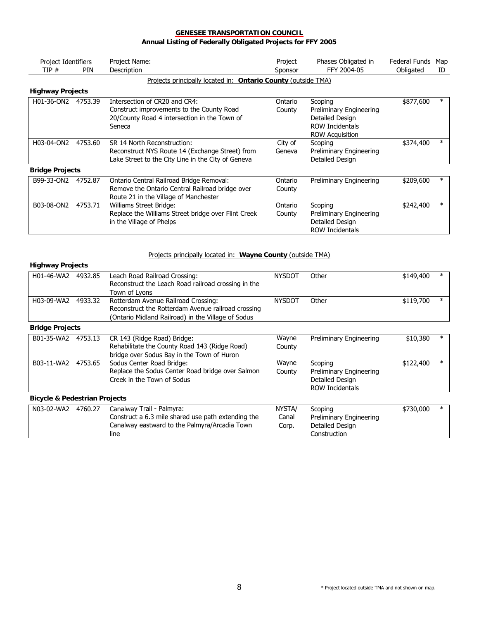| Project Identifiers<br>TIP# | PIN     | Project Name:<br>Description                                                                                                         | Project<br>Sponsor | Phases Obligated in<br>FFY 2004-05                                                                 | Federal Funds<br>Obligated | Map<br>ID |
|-----------------------------|---------|--------------------------------------------------------------------------------------------------------------------------------------|--------------------|----------------------------------------------------------------------------------------------------|----------------------------|-----------|
|                             |         | Projects principally located in: Ontario County (outside TMA)                                                                        |                    |                                                                                                    |                            |           |
| <b>Highway Projects</b>     |         |                                                                                                                                      |                    |                                                                                                    |                            |           |
| H01-36-ON2                  | 4753.39 | Intersection of CR20 and CR4:<br>Construct improvements to the County Road<br>20/County Road 4 intersection in the Town of<br>Seneca | Ontario<br>County  | Scoping<br>Preliminary Engineering<br>Detailed Design<br>ROW Incidentals<br><b>ROW Acquisition</b> | \$877,600                  |           |
| H03-04-ON2                  | 4753.60 | SR 14 North Reconstruction:<br>Reconstruct NYS Route 14 (Exchange Street) from<br>Lake Street to the City Line in the City of Geneva | City of<br>Geneva  | Scoping<br>Preliminary Engineering<br>Detailed Design                                              | \$374,400                  | $\ast$    |
| <b>Bridge Projects</b>      |         |                                                                                                                                      |                    |                                                                                                    |                            |           |
| B99-33-ON2                  | 4752.87 | Ontario Central Railroad Bridge Removal:<br>Remove the Ontario Central Railroad bridge over<br>Route 21 in the Village of Manchester | Ontario<br>County  | Preliminary Engineering                                                                            | \$209,600                  |           |
| B03-08-ON2                  | 4753.71 | Williams Street Bridge:<br>Replace the Williams Street bridge over Flint Creek<br>in the Village of Phelps                           | Ontario<br>County  | Scoping<br>Preliminary Engineering<br>Detailed Design<br>ROW Incidentals                           | \$242,400                  | $\ast$    |

### Projects principally located in: **Wayne County** (outside TMA)

#### **Highway Projects**

line

| H01-46-WA2                               | 4932.85 | Leach Road Railroad Crossing:<br>Reconstruct the Leach Road railroad crossing in the<br>Town of Lyons                                           | <b>NYSDOT</b>            | Other                                                                           | \$149,400 | $\ast$ |
|------------------------------------------|---------|-------------------------------------------------------------------------------------------------------------------------------------------------|--------------------------|---------------------------------------------------------------------------------|-----------|--------|
| H03-09-WA2                               | 4933.32 | Rotterdam Avenue Railroad Crossing:<br>Reconstruct the Rotterdam Avenue railroad crossing<br>(Ontario Midland Railroad) in the Village of Sodus | <b>NYSDOT</b>            | Other                                                                           | \$119,700 | $\ast$ |
| <b>Bridge Projects</b>                   |         |                                                                                                                                                 |                          |                                                                                 |           |        |
| B01-35-WA2                               | 4753.13 | CR 143 (Ridge Road) Bridge:<br>Rehabilitate the County Road 143 (Ridge Road)<br>bridge over Sodus Bay in the Town of Huron                      | Wayne<br>County          | Preliminary Engineering                                                         | \$10,380  | $\ast$ |
| B03-11-WA2                               | 4753.65 | Sodus Center Road Bridge:<br>Replace the Sodus Center Road bridge over Salmon<br>Creek in the Town of Sodus                                     | Wayne<br>County          | Scoping<br>Preliminary Engineering<br>Detailed Design<br><b>ROW Incidentals</b> | \$122,400 |        |
| <b>Bicycle &amp; Pedestrian Projects</b> |         |                                                                                                                                                 |                          |                                                                                 |           |        |
| N03-02-WA2                               | 4760.27 | Canalway Trail - Palmyra:<br>Construct a 6.3 mile shared use path extending the<br>Canalway eastward to the Palmyra/Arcadia Town                | NYSTA/<br>Canal<br>Corp. | Scoping<br>Preliminary Engineering<br>Detailed Design                           | \$730,000 | $\ast$ |

Construction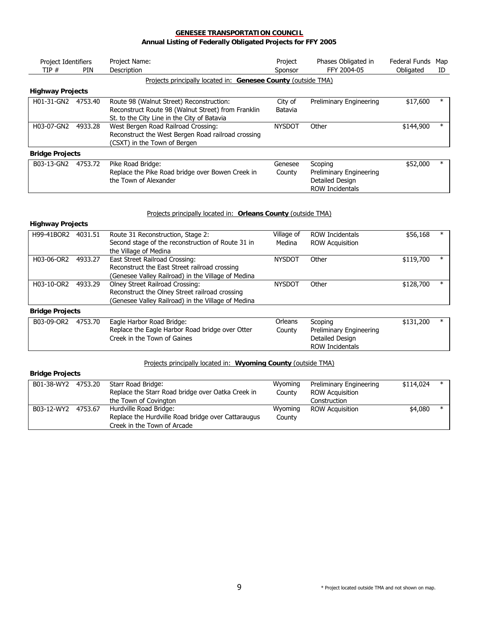| Project Identifiers<br>TIP# | <b>PIN</b> | Project Name:<br>Description                                  | Project<br>Sponsor | Phases Obligated in<br>FFY 2004-05 | Federal Funds<br>Obligated | Map<br>ID |
|-----------------------------|------------|---------------------------------------------------------------|--------------------|------------------------------------|----------------------------|-----------|
|                             |            | Projects principally located in: Genesee County (outside TMA) |                    |                                    |                            |           |
| <b>Highway Projects</b>     |            |                                                               |                    |                                    |                            |           |
| H01-31-GN2                  | 4753.40    | Route 98 (Walnut Street) Reconstruction:                      | City of            | Preliminary Engineering            | \$17,600                   | $\ast$    |
|                             |            | Reconstruct Route 98 (Walnut Street) from Franklin            | Batavia            |                                    |                            |           |
|                             |            | St. to the City Line in the City of Batavia                   |                    |                                    |                            |           |
| H03-07-GN2                  | 4933.28    | West Bergen Road Railroad Crossing:                           | <b>NYSDOT</b>      | Other                              | \$144,900                  | $\ast$    |
|                             |            | Reconstruct the West Bergen Road railroad crossing            |                    |                                    |                            |           |
|                             |            | (CSXT) in the Town of Bergen                                  |                    |                                    |                            |           |
| <b>Bridge Projects</b>      |            |                                                               |                    |                                    |                            |           |
| B03-13-GN2                  | 4753.72    | Pike Road Bridge:                                             | Genesee            | Scoping                            | \$52,000                   | $\ast$    |
|                             |            | Replace the Pike Road bridge over Bowen Creek in              | County             | Preliminary Engineering            |                            |           |
|                             |            | the Town of Alexander                                         |                    | Detailed Design                    |                            |           |
|                             |            |                                                               |                    | <b>ROW Incidentals</b>             |                            |           |

#### Projects principally located in: **Orleans County** (outside TMA)

#### **Highway Projects**

|                        |         |                                                    |               |                        |           | $\ast$ |
|------------------------|---------|----------------------------------------------------|---------------|------------------------|-----------|--------|
| H99-41BOR2             | 4031.51 | Route 31 Reconstruction, Stage 2:                  | Village of    | ROW Incidentals        | \$56,168  |        |
|                        |         | Second stage of the reconstruction of Route 31 in  | Medina        | <b>ROW Acquisition</b> |           |        |
|                        |         | the Village of Medina                              |               |                        |           |        |
| H03-06-OR2             | 4933.27 | East Street Railroad Crossing:                     | <b>NYSDOT</b> | Other                  | \$119,700 | $\ast$ |
|                        |         | Reconstruct the East Street railroad crossing      |               |                        |           |        |
|                        |         | (Genesee Valley Railroad) in the Village of Medina |               |                        |           |        |
| H03-10-OR2             | 4933.29 | Olney Street Railroad Crossing:                    | <b>NYSDOT</b> | Other                  | \$128,700 | $\ast$ |
|                        |         | Reconstruct the Olney Street railroad crossing     |               |                        |           |        |
|                        |         | (Genesee Valley Railroad) in the Village of Medina |               |                        |           |        |
| <b>Bridge Projects</b> |         |                                                    |               |                        |           |        |

| B03-09-OR2 | 4753.70 | Eagle Harbor Road Bridge:                       | Orleans | Scoping                 | \$131,200 |  |
|------------|---------|-------------------------------------------------|---------|-------------------------|-----------|--|
|            |         | Replace the Eagle Harbor Road bridge over Otter | Countv  | Preliminary Engineering |           |  |
|            |         | Creek in the Town of Gaines                     |         | Detailed Design         |           |  |
|            |         |                                                 |         | ROW Incidentals         |           |  |

### Projects principally located in: **Wyoming County** (outside TMA)

| <b>Bridge Projects</b> |  |
|------------------------|--|
|------------------------|--|

| B01-38-WY2 | 4753.20 | Starr Road Bridge:                                 | Wyoming | Preliminary Engineering | \$114,024 | $\ast$ |
|------------|---------|----------------------------------------------------|---------|-------------------------|-----------|--------|
|            |         | Replace the Starr Road bridge over Oatka Creek in  | County  | <b>ROW Acquisition</b>  |           |        |
|            |         | the Town of Covington                              |         | Construction            |           |        |
| B03-12-WY2 | 4753.67 | Hurdville Road Bridge:                             | Wyoming | <b>ROW Acquisition</b>  | \$4,080   | $\ast$ |
|            |         | Replace the Hurdville Road bridge over Cattaraugus | County  |                         |           |        |
|            |         | Creek in the Town of Arcade                        |         |                         |           |        |